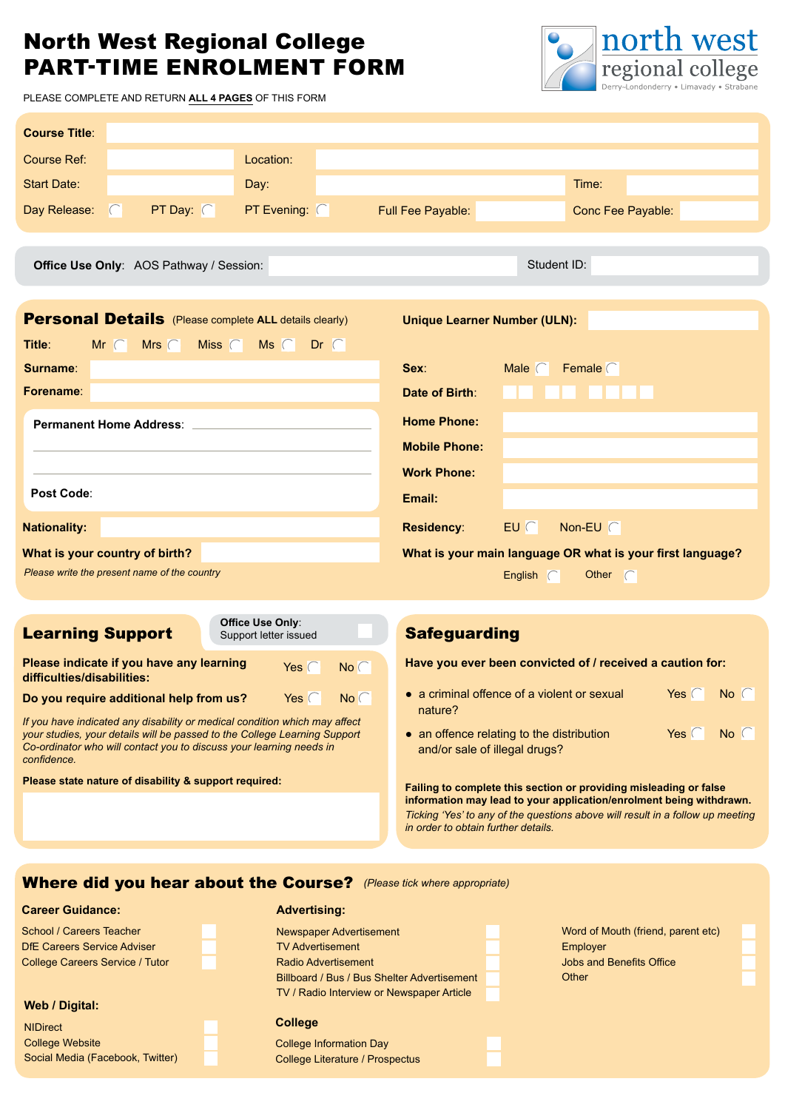# North West Regional College PART-TIME ENROLMENT FORM



PLEASE COMPLETE AND RETURN **ALL 4 PAGES** OF THIS FORM

| <b>Course Title:</b>                                                                                                                                                                                                                          |                                                                                                         |
|-----------------------------------------------------------------------------------------------------------------------------------------------------------------------------------------------------------------------------------------------|---------------------------------------------------------------------------------------------------------|
| <b>Course Ref:</b><br>Location:                                                                                                                                                                                                               |                                                                                                         |
| <b>Start Date:</b><br>Day:                                                                                                                                                                                                                    | Time:                                                                                                   |
| Day Release:<br>PT Day: $\Box$<br><b>PT Evening:</b> $\Box$<br>n                                                                                                                                                                              | Full Fee Payable:<br>Conc Fee Payable:                                                                  |
| Office Use Only: AOS Pathway / Session:                                                                                                                                                                                                       | Student ID:                                                                                             |
| <b>Personal Details</b> (Please complete ALL details clearly)                                                                                                                                                                                 | <b>Unique Learner Number (ULN):</b>                                                                     |
| Title:<br>$Mr \Box$ Mrs $\Box$<br>Miss $\Box$<br>$MS \Box$ Dr $\Box$                                                                                                                                                                          |                                                                                                         |
| Surname:                                                                                                                                                                                                                                      | Sex:<br>Female $\Box$<br>Male $\Box$                                                                    |
| Forename:                                                                                                                                                                                                                                     | Date of Birth:                                                                                          |
| <b>Permanent Home Address:</b> North Management Permanent Moment Communications of the Communication of the Communication of the Communication of the Communication of the Communication of the Communication of the Communication            | <b>Home Phone:</b>                                                                                      |
|                                                                                                                                                                                                                                               | <b>Mobile Phone:</b>                                                                                    |
|                                                                                                                                                                                                                                               | <b>Work Phone:</b>                                                                                      |
| Post Code:                                                                                                                                                                                                                                    | Email:                                                                                                  |
| <b>Nationality:</b>                                                                                                                                                                                                                           | <b>Residency:</b><br>$E\cup$ $\Box$<br>Non-EU $\square$                                                 |
| What is your country of birth?                                                                                                                                                                                                                | What is your main language OR what is your first language?                                              |
| Please write the present name of the country                                                                                                                                                                                                  | English $\Box$<br>Other $\Box$                                                                          |
| Office Use Only:                                                                                                                                                                                                                              |                                                                                                         |
| <b>Learning Support</b><br>Support letter issued                                                                                                                                                                                              | <b>Safeguarding</b>                                                                                     |
| Please indicate if you have any learning<br>Yes $\Box$<br>$No \Boxdifficulties/disabilities:$                                                                                                                                                 | Have you ever been convicted of / received a caution for:                                               |
| Do you require additional help from us?<br>Yes $\Box$<br>$No \Box$                                                                                                                                                                            | • a criminal offence of a violent or sexual<br>Yes $\Box$<br>No<br>nature?                              |
| If you have indicated any disability or medical condition which may affect<br>your studies, your details will be passed to the College Learning Support<br>Co-ordinator who will contact you to discuss your learning needs in<br>confidence. | • an offence relating to the distribution<br>Yes $\Box$<br>$No$ $\Box$<br>and/or sale of illegal drugs? |
| Please state nature of disability & support required:                                                                                                                                                                                         | Failing to complete this section or providing misleading or false                                       |

**information may lead to your application/enrolment being withdrawn.**  *Ticking 'Yes' to any of the questions above will result in a follow up meeting in order to obtain further details.* 

Where did you hear about the Course? *(Please tick where appropriate)*

#### **Career Guidance:**

| School / Careers Teacher               |
|----------------------------------------|
| <b>DfE Careers Service Adviser</b>     |
| <b>College Careers Service / Tutor</b> |

#### **Web / Digital:**

| <b>NIDirect</b>                  |
|----------------------------------|
| <b>College Website</b>           |
| Social Media (Facebook, Twitter) |

## Newspaper Advertisement TV Advertisement Radio Advertisement Billboard / Bus / Bus Shelter Advertisement TV / Radio Interview or Newspaper Article **Advertising: College** College Information Day

College Literature / Prospectus

| Word of Mouth (friend, parent etc) |
|------------------------------------|
| Employer                           |
| <b>Jobs and Benefits Office</b>    |
| Other                              |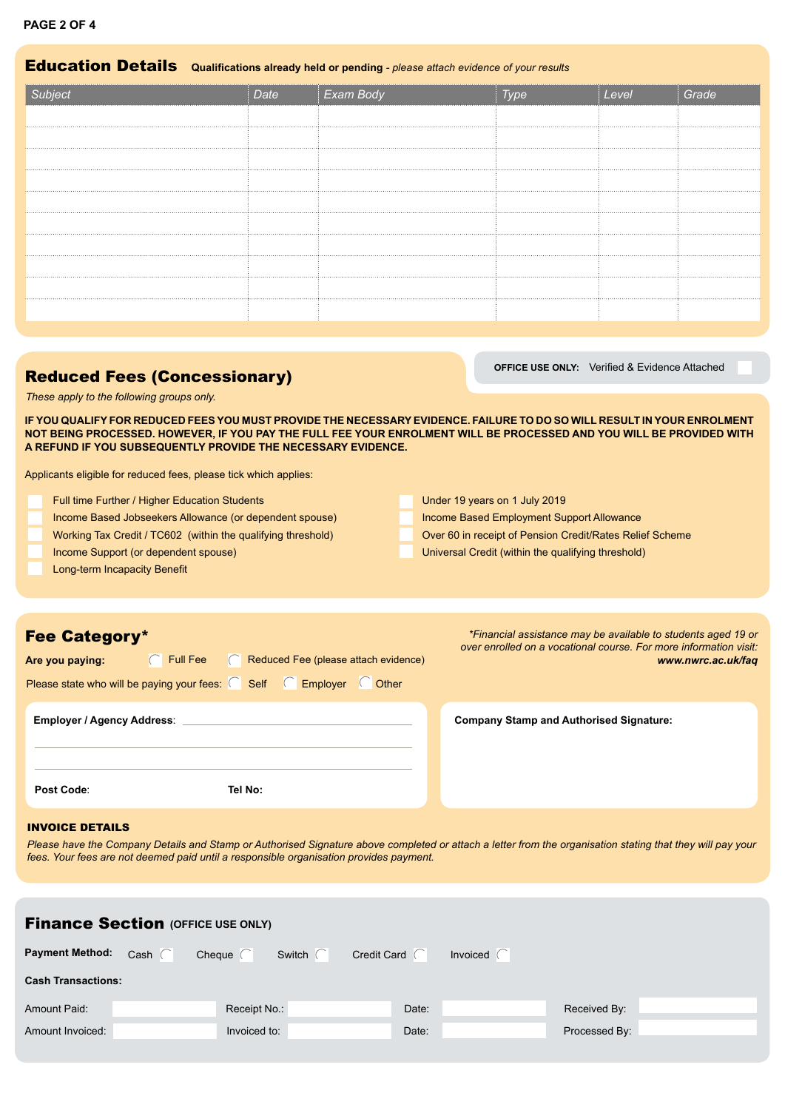# Education Details **Qualifcations already held or pending** *- please attach evidence of your results*

| Subject | <b>Exam Body</b> |  | Gr |
|---------|------------------|--|----|
|         |                  |  |    |
|         |                  |  |    |
|         |                  |  |    |
|         |                  |  |    |
|         |                  |  |    |
|         |                  |  |    |
|         |                  |  |    |
|         |                  |  |    |
|         |                  |  |    |
|         |                  |  |    |
|         |                  |  |    |

# **Reduced Fees (Concessionary) Concessionary Concessionary Concessionary Concessionary Concessionary Concessionary Concessionary Concessionary Concessionary Concessionary Concessionary Concessionary**

*These apply to the following groups only.*

**IF YOU QUALIFY FOR REDUCED FEES YOU MUST PROVIDE THE NECESSARY EVIDENCE. FAILURE TO DO SO WILL RESULT IN YOUR ENROLMENT NOT BEING PROCESSED. HOWEVER, IF YOU PAY THE FULL FEE YOUR ENROLMENT WILL BE PROCESSED AND YOU WILL BE PROVIDED WITH A REFUND IF YOU SUBSEQUENTLY PROVIDE THE NECESSARY EVIDENCE.**

Applicants eligible for reduced fees, please tick which applies:

| Full time Further / Higher Education Students                | Under 19 years on 1 July 2019                            |
|--------------------------------------------------------------|----------------------------------------------------------|
| Income Based Jobseekers Allowance (or dependent spouse)      | Income Based Employment Support Allowance                |
| Working Tax Credit / TC602 (within the qualifying threshold) | Over 60 in receipt of Pension Credit/Rates Relief Scheme |
| Income Support (or dependent spouse)                         | Universal Credit (within the qualifying threshold)       |
| Long-term Incapacity Benefit                                 |                                                          |
|                                                              |                                                          |

| <b>Fee Category*</b>                                                            | *Financial assistance may be available to students aged 19 or<br>over enrolled on a vocational course. For more information visit: |  |  |
|---------------------------------------------------------------------------------|------------------------------------------------------------------------------------------------------------------------------------|--|--|
| $\Box$ Full Fee<br>Reduced Fee (please attach evidence)<br>Are you paying:<br>H | www.nwrc.ac.uk/faq                                                                                                                 |  |  |
| Please state who will be paying your fees: $\Box$ Self $\Box$ Employer<br>Other |                                                                                                                                    |  |  |
| <b>Employer / Agency Address:</b>                                               | <b>Company Stamp and Authorised Signature:</b>                                                                                     |  |  |
| Post Code:<br>Tel No:                                                           |                                                                                                                                    |  |  |

#### INVOICE DETAILS

*Please have the Company Details and Stamp or Authorised Signature above completed or attach a letter from the organisation stating that they will pay your fees. Your fees are not deemed paid until a responsible organisation provides payment.* 

| <b>Finance Section (OFFICE USE ONLY)</b> |             |               |               |                    |                 |               |  |
|------------------------------------------|-------------|---------------|---------------|--------------------|-----------------|---------------|--|
| <b>Payment Method:</b>                   | Cash $\Box$ | Cheque $\Box$ | Switch $\Box$ | Credit Card $\Box$ | Invoiced $\Box$ |               |  |
| <b>Cash Transactions:</b>                |             |               |               |                    |                 |               |  |
| <b>Amount Paid:</b>                      |             | Receipt No.:  |               | Date:              |                 | Received By:  |  |
| Amount Invoiced:                         |             | Invoiced to:  |               | Date:              |                 | Processed By: |  |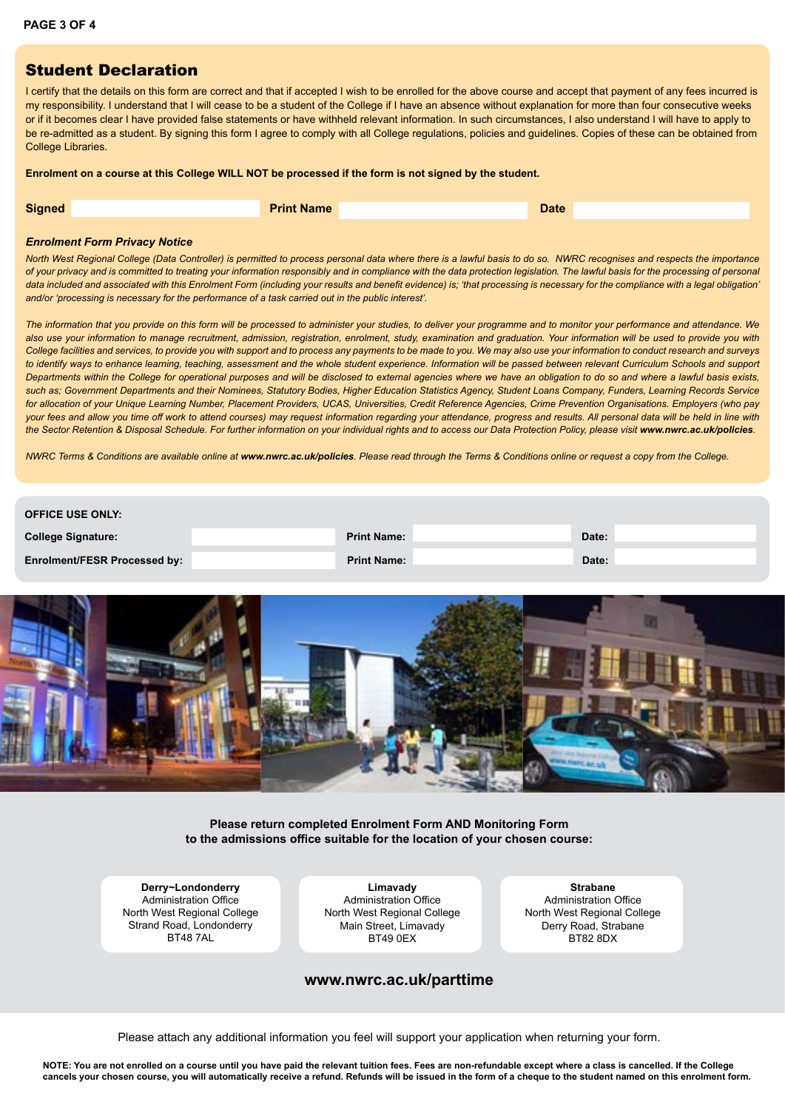### Student Declaration

I certify that the details on this form are correct and that if accepted I wish to be enrolled for the above course and accept that payment of any fees incurred is my responsibility. I understand that I will cease to be a student of the College if I have an absence without explanation for more than four consecutive weeks or if it becomes clear I have provided false statements or have withheld relevant information. In such circumstances, I also understand I will have to apply to be re-admitted as a student. By signing this form I agree to comply with all College regulations, policies and guidelines. Copies of these can be obtained from College Libraries.

#### **Enrolment on a course at this College WILL NOT be processed if the form is not signed by the student.**

| <b>Signed</b> | <b>Name</b> | Date <sup>1</sup> |
|---------------|-------------|-------------------|
|               |             |                   |

#### *Enrolment Form Privacy Notice*

*North West Regional College (Data Controller) is permitted to process personal data where there is a lawful basis to do so. NWRC recognises and respects the importance of your privacy and is committed to treating your information responsibly and in compliance with the data protection legislation. The lawful basis for the processing of personal*  data included and associated with this Enrolment Form (including your results and benefit evidence) is; 'that processing is necessary for the compliance with a legal obligation' *and/or 'processing is necessary for the performance of a task carried out in the public interest'.* 

*The information that you provide on this form will be processed to administer your studies, to deliver your programme and to monitor your performance and attendance. We*  also use your information to manage recruitment, admission, registration, enrolment, study, examination and graduation. Your information will be used to provide you with *College facilities and services, to provide you with support and to process any payments to be made to you. We may also use your information to conduct research and surveys*  to identify ways to enhance learning, teaching, assessment and the whole student experience. Information will be passed between relevant Curriculum Schools and support *Departments within the College for operational purposes and will be disclosed to external agencies where we have an obligation to do so and where a lawful basis exists,*  such as; Government Departments and their Nominees, Statutory Bodies, Higher Education Statistics Agency, Student Loans Company, Funders, Learning Records Service *for allocation of your Unique Learning Number, Placement Providers, UCAS, Universities, Credit Reference Agencies, Crime Prevention Organisations. Employers (who pay*  your fees and allow you time off work to attend courses) may request information regarding your attendance, progress and results. All personal data will be held in line with the Sector Retention & Disposal Schedule. For further information on your individual rights and to access our Data Protection Policy, please visit [www.nwrc.ac.uk/policies](http://www.nwrc.ac.uk/policies).

*NWRC Terms & Conditions are available online at [www.nwrc.ac.uk/policies](http://www.nwrc.ac.uk/policies). Please read through the Terms & Conditions online or request a copy from the College.*

| <b>OFFICE USE ONLY:</b>             |                    |       |  |
|-------------------------------------|--------------------|-------|--|
| <b>College Signature:</b>           | <b>Print Name:</b> | Date: |  |
| <b>Enrolment/FESR Processed by:</b> | <b>Print Name:</b> | Date: |  |



**Please return completed Enrolment Form AND Monitoring Form**  to the admissions office suitable for the location of your chosen course:

**Derry~Londonderry** Administration Office North West Regional College Strand Road, Londonderry RT48 7AL

**Limavady** Administration Office North West Regional College Main Street, Limavady **BT49 0FX** 

**Strabane** Administration Office North West Regional College Derry Road, Strabane BT82 8DX

#### **www.nwrc.ac.uk/parttime**

Please attach any additional information you feel will support your application when returning your form.

**NOTE: You are not enrolled on a course until you have paid the relevant tuition fees. Fees are non-refundable except where a class is cancelled. If the College cancels your chosen course, you will automatically receive a refund. Refunds will be issued in the form of a cheque to the student named on this enrolment form.**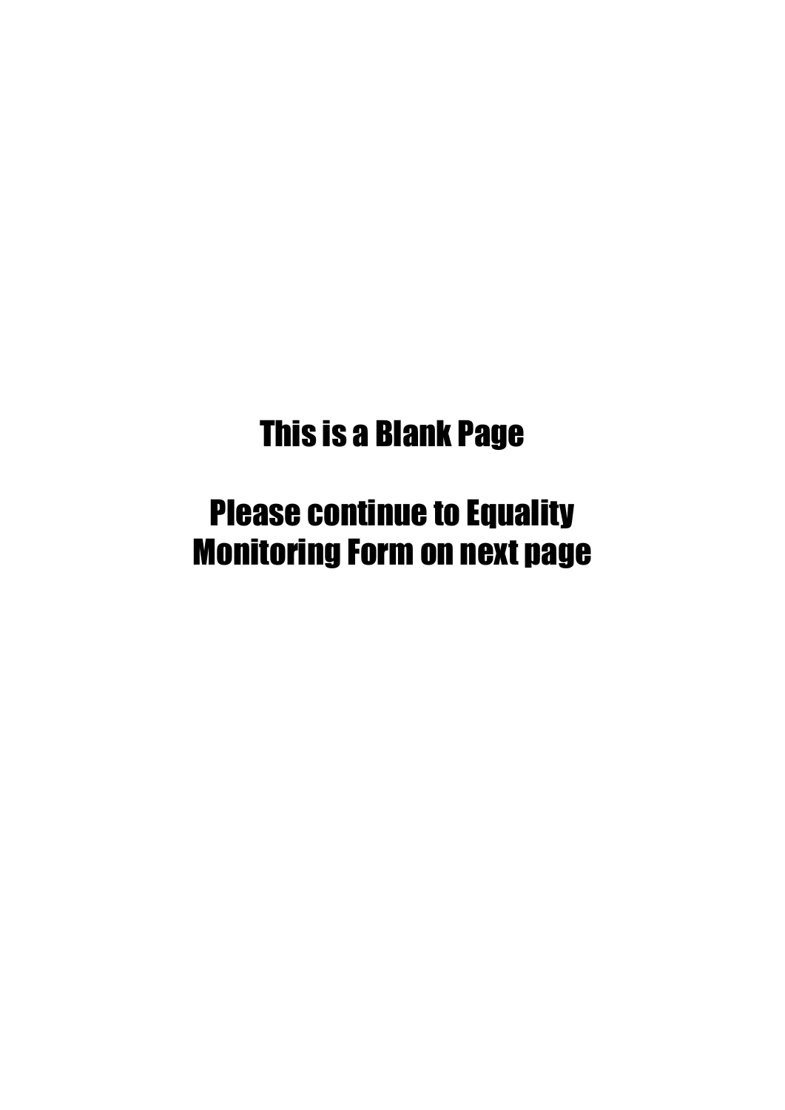# This is a Blank Page

# Please continue to Equality Monitoring Form on next page